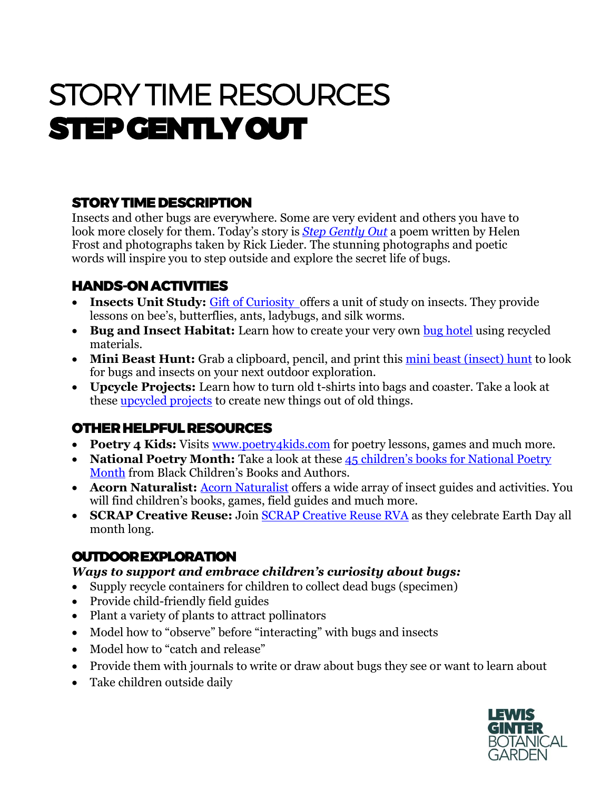# STORY TIME RESOURCES STEP GENTLY OUT

# STORY TIME DESCRIPTION

Insects and other bugs are everywhere. Some are very evident and others you have to look more closely for them. Today's story is *[Step Gently Out](https://www.goodreads.com/book/show/12909209-step-gently-out)* a poem written by Helen Frost and photographs taken by Rick Lieder. The stunning photographs and poetic words will inspire you to step outside and explore the secret life of bugs.

# HANDS-ON ACTIVITIES

- **Insects Unit Study:** [Gift of Curiosity o](https://kidsgardening.org/garden-activities-save-your-seeds/)ffers a unit of study on insects. They provide lessons on bee's, butterflies, ants, ladybugs, and silk worms.
- **Bug and Insect Habitat:** Learn how to create your very own [bug hotel](https://nhm.org/bug-hotels) using recycled materials.
- Mini Beast Hunt: Grab a clipboard, pencil, and print this [mini beast \(insect\) hunt](https://www.lewisginter.org/wp-content/uploads/2020/08/minibeast-flying-id-1.pdf) to look for bugs and insects on your next outdoor exploration.
- **Upcycle Projects:** Learn how to turn old t-shirts into bags and coaster. Take a look at these [upcycled projects](https://www.neefusa.org/education/upcycle-projects) to create new things out of old things.

### OTHER HELPFUL RESOURCES

- **Poetry 4 Kids:** Visits [www.poetry4kids.com](http://www.poetry4kids.com/) for poetry lessons, games and much more.
- **National Poetry Month:** Take a look at these 45 children's books for National Poetry [Month](http://bcbooksandauthors.com/beauty-and-emotion-45-childrens-books-for-national-poetry-month/) from Black Children's Books and Authors.
- **[Acorn Naturalist](https://www.acornnaturalists.com/products/animal-worlds/insects-invertebrates/insect-guides-activities.html): Acorn Naturalist** offers a wide array of insect guides and activities. You will find children's books, games, field guides and much more.
- **SCRAP Creative Reuse:** Join [SCRAP Creative Reuse RVA](https://richmond.scrapcreativereuse.org/) as they celebrate Earth Day all month long.

# OUTDOOR EXPLORATION

#### *Ways to support and embrace children's curiosity about bugs:*

- Supply recycle containers for children to collect dead bugs (specimen)
- Provide child-friendly field guides
- Plant a variety of plants to attract pollinators
- Model how to "observe" before "interacting" with bugs and insects
- Model how to "catch and release"
- Provide them with journals to write or draw about bugs they see or want to learn about
- Take children outside daily